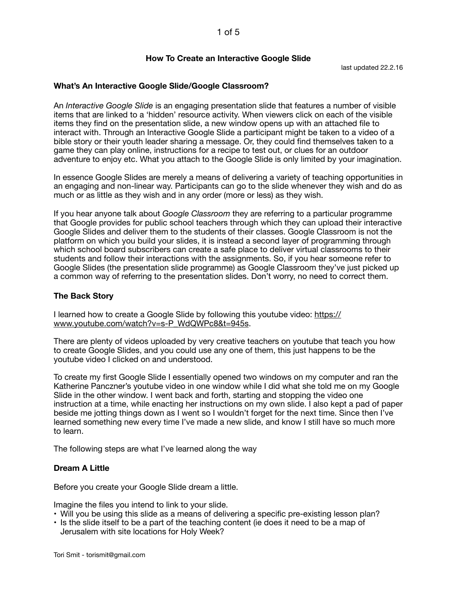### **How To Create an Interactive Google Slide**

last updated 22.2.16

## **What's An Interactive Google Slide/Google Classroom?**

An *Interactive Google Slide* is an engaging presentation slide that features a number of visible items that are linked to a 'hidden' resource activity. When viewers click on each of the visible items they find on the presentation slide, a new window opens up with an attached file to interact with. Through an Interactive Google Slide a participant might be taken to a video of a bible story or their youth leader sharing a message. Or, they could find themselves taken to a game they can play online, instructions for a recipe to test out, or clues for an outdoor adventure to enjoy etc. What you attach to the Google Slide is only limited by your imagination.

In essence Google Slides are merely a means of delivering a variety of teaching opportunities in an engaging and non-linear way. Participants can go to the slide whenever they wish and do as much or as little as they wish and in any order (more or less) as they wish.

If you hear anyone talk about *Google Classroom* they are referring to a particular programme that Google provides for public school teachers through which they can upload their interactive Google Slides and deliver them to the students of their classes. Google Classroom is not the platform on which you build your slides, it is instead a second layer of programming through which school board subscribers can create a safe place to deliver virtual classrooms to their students and follow their interactions with the assignments. So, if you hear someone refer to Google Slides (the presentation slide programme) as Google Classroom they've just picked up a common way of referring to the presentation slides. Don't worry, no need to correct them.

### **The Back Story**

I learned how to create a Google Slide by following this youtube video: [https://](https://www.youtube.com/watch?v=s-P_WdQWPc8&t=945s) [www.youtube.com/watch?v=s-P\\_WdQWPc8&t=945s](https://www.youtube.com/watch?v=s-P_WdQWPc8&t=945s).

There are plenty of videos uploaded by very creative teachers on youtube that teach you how to create Google Slides, and you could use any one of them, this just happens to be the youtube video I clicked on and understood.

To create my first Google Slide I essentially opened two windows on my computer and ran the Katherine Panczner's youtube video in one window while I did what she told me on my Google Slide in the other window. I went back and forth, starting and stopping the video one instruction at a time, while enacting her instructions on my own slide. I also kept a pad of paper beside me jotting things down as I went so I wouldn't forget for the next time. Since then I've learned something new every time I've made a new slide, and know I still have so much more to learn.

The following steps are what I've learned along the way

#### **Dream A Little**

Before you create your Google Slide dream a little.

Imagine the files you intend to link to your slide.

- Will you be using this slide as a means of delivering a specific pre-existing lesson plan?
- Is the slide itself to be a part of the teaching content (ie does it need to be a map of Jerusalem with site locations for Holy Week?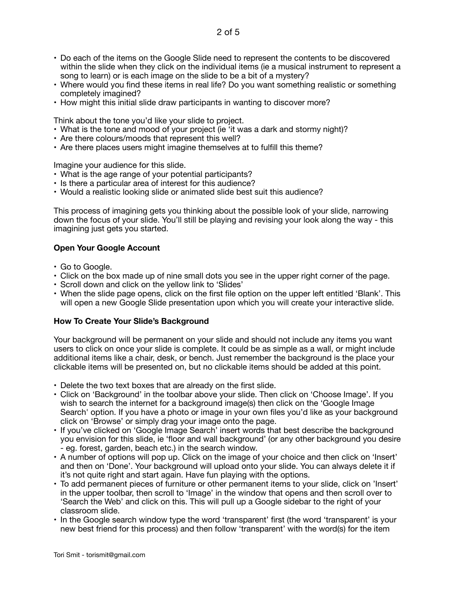- Do each of the items on the Google Slide need to represent the contents to be discovered within the slide when they click on the individual items (ie a musical instrument to represent a song to learn) or is each image on the slide to be a bit of a mystery?
- Where would you find these items in real life? Do you want something realistic or something completely imagined?
- How might this initial slide draw participants in wanting to discover more?

Think about the tone you'd like your slide to project.

- What is the tone and mood of your project (ie 'it was a dark and stormy night)?
- Are there colours/moods that represent this well?
- Are there places users might imagine themselves at to fulfill this theme?

Imagine your audience for this slide.

- What is the age range of your potential participants?
- Is there a particular area of interest for this audience?
- Would a realistic looking slide or animated slide best suit this audience?

This process of imagining gets you thinking about the possible look of your slide, narrowing down the focus of your slide. You'll still be playing and revising your look along the way - this imagining just gets you started.

## **Open Your Google Account**

- Go to Google.
- Click on the box made up of nine small dots you see in the upper right corner of the page.
- Scroll down and click on the yellow link to 'Slides'
- When the slide page opens, click on the first file option on the upper left entitled 'Blank'. This will open a new Google Slide presentation upon which you will create your interactive slide.

#### **How To Create Your Slide's Background**

Your background will be permanent on your slide and should not include any items you want users to click on once your slide is complete. It could be as simple as a wall, or might include additional items like a chair, desk, or bench. Just remember the background is the place your clickable items will be presented on, but no clickable items should be added at this point.

- Delete the two text boxes that are already on the first slide.
- Click on 'Background' in the toolbar above your slide. Then click on 'Choose Image'. If you wish to search the internet for a background image(s) then click on the 'Google Image Search' option. If you have a photo or image in your own files you'd like as your background click on 'Browse' or simply drag your image onto the page.
- If you've clicked on 'Google Image Search' insert words that best describe the background you envision for this slide, ie 'floor and wall background' (or any other background you desire - eg. forest, garden, beach etc.) in the search window.
- A number of options will pop up. Click on the image of your choice and then click on 'Insert' and then on 'Done'. Your background will upload onto your slide. You can always delete it if it's not quite right and start again. Have fun playing with the options.
- To add permanent pieces of furniture or other permanent items to your slide, click on 'Insert' in the upper toolbar, then scroll to 'Image' in the window that opens and then scroll over to 'Search the Web' and click on this. This will pull up a Google sidebar to the right of your classroom slide.
- In the Google search window type the word 'transparent' first (the word 'transparent' is your new best friend for this process) and then follow 'transparent' with the word(s) for the item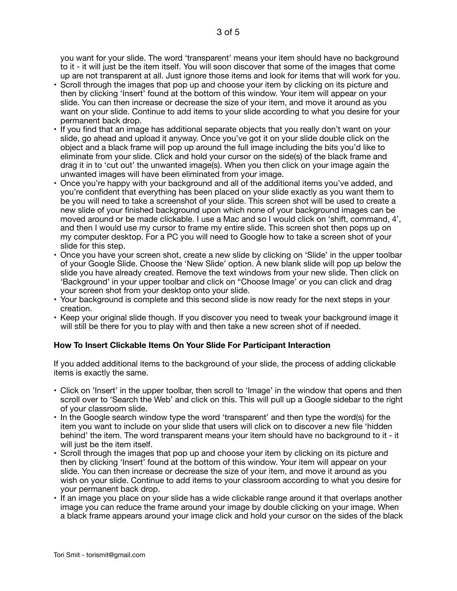you want for your slide. The word 'transparent' means your item should have no background to it - it will just be the item itself. You will soon discover that some of the images that come up are not transparent at all. Just ignore those items and look for items that will work for you.

- Scroll through the images that pop up and choose your item by clicking on its picture and then by clicking 'Insert' found at the bottom of this window. Your item will appear on your slide. You can then increase or decrease the size of your item, and move it around as you want on your slide. Continue to add items to your slide according to what you desire for your permanent back drop.
- If you find that an image has additional separate objects that you really don't want on your slide, go ahead and upload it anyway. Once you've got it on your slide double click on the object and a black frame will pop up around the full image including the bits you'd like to eliminate from your slide. Click and hold your cursor on the side(s) of the black frame and drag it in to 'cut out' the unwanted image(s). When you then click on your image again the unwanted images will have been eliminated from your image.
- Once you're happy with your background and all of the additional items you've added, and you're confident that everything has been placed on your slide exactly as you want them to be you will need to take a screenshot of your slide. This screen shot will be used to create a new slide of your finished background upon which none of your background images can be moved around or be made clickable. I use a Mac and so I would click on 'shift, command, 4', and then I would use my cursor to frame my entire slide. This screen shot then pops up on my computer desktop. For a PC you will need to Google how to take a screen shot of your slide for this step.
- Once you have your screen shot, create a new slide by clicking on 'Slide' in the upper toolbar of your Google Slide. Choose the 'New Slide' option. A new blank slide will pop up below the slide you have already created. Remove the text windows from your new slide. Then click on 'Background' in your upper toolbar and click on "Choose Image' or you can click and drag your screen shot from your desktop onto your slide.
- Your background is complete and this second slide is now ready for the next steps in your creation.
- Keep your original slide though. If you discover you need to tweak your background image it will still be there for you to play with and then take a new screen shot of if needed.

# **How To Insert Clickable Items On Your Slide For Participant Interaction**

If you added additional items to the background of your slide, the process of adding clickable items is exactly the same.

- Click on 'Insert' in the upper toolbar, then scroll to 'Image' in the window that opens and then scroll over to 'Search the Web' and click on this. This will pull up a Google sidebar to the right of your classroom slide.
- In the Google search window type the word 'transparent' and then type the word(s) for the item you want to include on your slide that users will click on to discover a new file 'hidden behind' the item. The word transparent means your item should have no background to it - it will just be the item itself.
- Scroll through the images that pop up and choose your item by clicking on its picture and then by clicking 'Insert' found at the bottom of this window. Your item will appear on your slide. You can then increase or decrease the size of your item, and move it around as you wish on your slide. Continue to add items to your classroom according to what you desire for your permanent back drop.
- If an image you place on your slide has a wide clickable range around it that overlaps another image you can reduce the frame around your image by double clicking on your image. When a black frame appears around your image click and hold your cursor on the sides of the black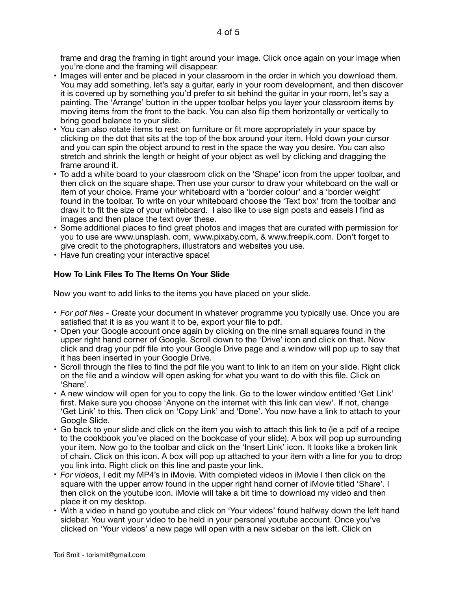frame and drag the framing in tight around your image. Click once again on your image when you're done and the framing will disappear.

- Images will enter and be placed in your classroom in the order in which you download them. You may add something, let's say a guitar, early in your room development, and then discover it is covered up by something you'd prefer to sit behind the guitar in your room, let's say a painting. The 'Arrange' button in the upper toolbar helps you layer your classroom items by moving items from the front to the back. You can also flip them horizontally or vertically to bring good balance to your slide.
- You can also rotate items to rest on furniture or fit more appropriately in your space by clicking on the dot that sits at the top of the box around your item. Hold down your cursor and you can spin the object around to rest in the space the way you desire. You can also stretch and shrink the length or height of your object as well by clicking and dragging the frame around it.
- To add a white board to your classroom click on the 'Shape' icon from the upper toolbar, and then click on the square shape. Then use your cursor to draw your whiteboard on the wall or item of your choice. Frame your whiteboard with a 'border colour' and a 'border weight' found in the toolbar. To write on your whiteboard choose the 'Text box' from the toolbar and draw it to fit the size of your whiteboard. I also like to use sign posts and easels I find as images and then place the text over these.
- Some additional places to find great photos and images that are curated with permission for you to use are www.unsplash. com, www.pixaby.com, & www.freepik.com. Don't forget to give credit to the photographers, illustrators and websites you use.
- Have fun creating your interactive space!

# **How To Link Files To The Items On Your Slide**

Now you want to add links to the items you have placed on your slide.

- *For pdf files* Create your document in whatever programme you typically use. Once you are satisfied that it is as you want it to be, export your file to pdf.
- Open your Google account once again by clicking on the nine small squares found in the upper right hand corner of Google. Scroll down to the 'Drive' icon and click on that. Now click and drag your pdf file into your Google Drive page and a window will pop up to say that it has been inserted in your Google Drive.
- Scroll through the files to find the pdf file you want to link to an item on your slide. Right click on the file and a window will open asking for what you want to do with this file. Click on 'Share'.
- A new window will open for you to copy the link. Go to the lower window entitled 'Get Link' first. Make sure you choose 'Anyone on the internet with this link can view'. If not, change 'Get Link' to this. Then click on 'Copy Link' and 'Done'. You now have a link to attach to your Google Slide.
- Go back to your slide and click on the item you wish to attach this link to (ie a pdf of a recipe to the cookbook you've placed on the bookcase of your slide). A box will pop up surrounding your item. Now go to the toolbar and click on the 'Insert Link' icon. It looks like a broken link of chain. Click on this icon. A box will pop up attached to your item with a line for you to drop you link into. Right click on this line and paste your link.
- *For videos*, I edit my MP4's in iMovie. With completed videos in iMovie I then click on the square with the upper arrow found in the upper right hand corner of iMovie titled 'Share'. I then click on the youtube icon. iMovie will take a bit time to download my video and then place it on my desktop.
- With a video in hand go youtube and click on 'Your videos' found halfway down the left hand sidebar. You want your video to be held in your personal youtube account. Once you've clicked on 'Your videos' a new page will open with a new sidebar on the left. Click on